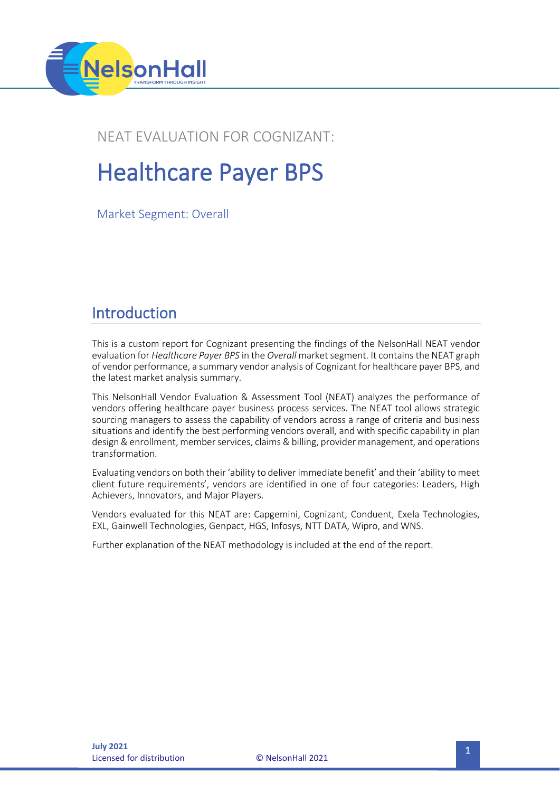

# NEAT EVALUATION FOR COGNIZANT:

# Healthcare Payer BPS

Market Segment: Overall

# Introduction

This is a custom report for Cognizant presenting the findings of the NelsonHall NEAT vendor evaluation for *Healthcare Payer BPS* in the *Overall* market segment. It contains the NEAT graph of vendor performance, a summary vendor analysis of Cognizant for healthcare payer BPS, and the latest market analysis summary.

This NelsonHall Vendor Evaluation & Assessment Tool (NEAT) analyzes the performance of vendors offering healthcare payer business process services. The NEAT tool allows strategic sourcing managers to assess the capability of vendors across a range of criteria and business situations and identify the best performing vendors overall, and with specific capability in plan design & enrollment, member services, claims & billing, provider management, and operations transformation.

Evaluating vendors on both their 'ability to deliver immediate benefit' and their 'ability to meet client future requirements', vendors are identified in one of four categories: Leaders, High Achievers, Innovators, and Major Players.

Vendors evaluated for this NEAT are: Capgemini, Cognizant, Conduent, Exela Technologies, EXL, Gainwell Technologies, Genpact, HGS, Infosys, NTT DATA, Wipro, and WNS.

Further explanation of the NEAT methodology is included at the end of the report.

**Licensed for distribution**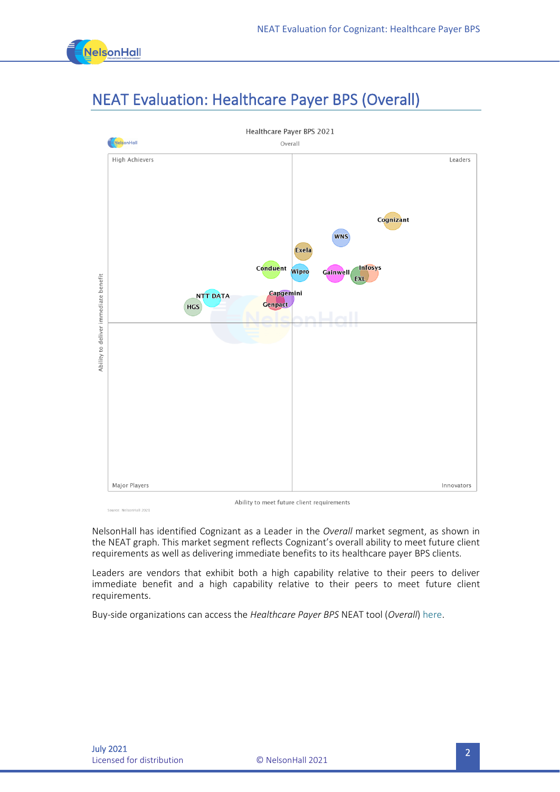

# NEAT Evaluation: Healthcare Payer BPS (Overall)



-<br>Source: NelsonHall 2021

Ability to meet future client requirements

NelsonHall has identified Cognizant as a Leader in the *Overall* market segment, as shown in the NEAT graph. This market segment reflects Cognizant's overall ability to meet future client requirements as well as delivering immediate benefits to its healthcare payer BPS clients.

Leaders are vendors that exhibit both a high capability relative to their peers to deliver immediate benefit and a high capability relative to their peers to meet future client requirements.

Buy-side organizations can access the *Healthcare Payer BPS* NEAT tool (*Overall*[\) here.](https://research.nelson-hall.com/sourcing-expertise/neat-reports/?avpage-views=neat&avpage-views=neat&NEATaction=viewProject&project=272)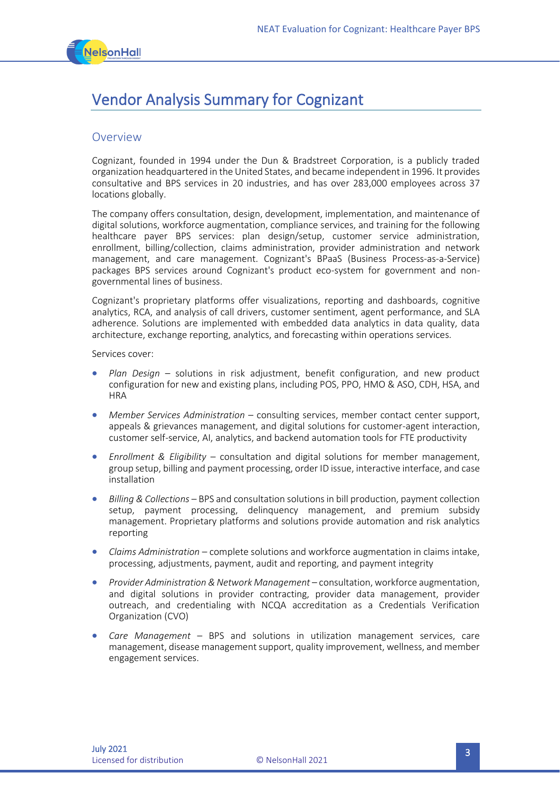

# Vendor Analysis Summary for Cognizant

#### **Overview**

Cognizant, founded in 1994 under the Dun & Bradstreet Corporation, is a publicly traded organization headquartered in the United States, and became independent in 1996. It provides consultative and BPS services in 20 industries, and has over 283,000 employees across 37 locations globally.

The company offers consultation, design, development, implementation, and maintenance of digital solutions, workforce augmentation, compliance services, and training for the following healthcare payer BPS services: plan design/setup, customer service administration, enrollment, billing/collection, claims administration, provider administration and network management, and care management. Cognizant's BPaaS (Business Process-as-a-Service) packages BPS services around Cognizant's product eco-system for government and nongovernmental lines of business.

Cognizant's proprietary platforms offer visualizations, reporting and dashboards, cognitive analytics, RCA, and analysis of call drivers, customer sentiment, agent performance, and SLA adherence. Solutions are implemented with embedded data analytics in data quality, data architecture, exchange reporting, analytics, and forecasting within operations services.

Services cover:

- *Plan Design* solutions in risk adjustment, benefit configuration, and new product configuration for new and existing plans, including POS, PPO, HMO & ASO, CDH, HSA, and **HRA**
- *Member Services Administration* consulting services, member contact center support, appeals & grievances management, and digital solutions for customer-agent interaction, customer self-service, AI, analytics, and backend automation tools for FTE productivity
- *Enrollment & Eligibility* consultation and digital solutions for member management, group setup, billing and payment processing, order ID issue, interactive interface, and case installation
- *Billing & Collections* BPS and consultation solutions in bill production, payment collection setup, payment processing, delinquency management, and premium subsidy management. Proprietary platforms and solutions provide automation and risk analytics reporting
- *Claims Administration* complete solutions and workforce augmentation in claims intake, processing, adjustments, payment, audit and reporting, and payment integrity
- *Provider Administration & Network Management* consultation, workforce augmentation, and digital solutions in provider contracting, provider data management, provider outreach, and credentialing with NCQA accreditation as a Credentials Verification Organization (CVO)
- *Care Management* BPS and solutions in utilization management services, care management, disease management support, quality improvement, wellness, and member engagement services.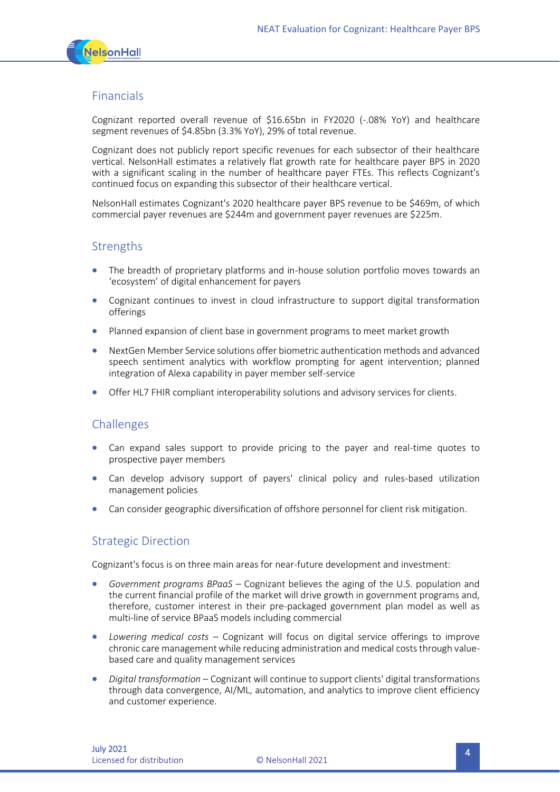

### Financials

Cognizant reported overall revenue of \$16.65bn in FY2020 (-.08% YoY) and healthcare segment revenues of \$4.85bn (3.3% YoY), 29% of total revenue.

Cognizant does not publicly report specific revenues for each subsector of their healthcare vertical. NelsonHall estimates a relatively flat growth rate for healthcare payer BPS in 2020 with a significant scaling in the number of healthcare payer FTEs. This reflects Cognizant's continued focus on expanding this subsector of their healthcare vertical.

NelsonHall estimates Cognizant's 2020 healthcare payer BPS revenue to be \$469m, of which commercial payer revenues are \$244m and government payer revenues are \$225m.

### **Strengths**

- The breadth of proprietary platforms and in-house solution portfolio moves towards an 'ecosystem' of digital enhancement for payers
- Cognizant continues to invest in cloud infrastructure to support digital transformation offerings
- Planned expansion of client base in government programs to meet market growth
- NextGen Member Service solutions offer biometric authentication methods and advanced speech sentiment analytics with workflow prompting for agent intervention; planned integration of Alexa capability in payer member self-service
- Offer HL7 FHIR compliant interoperability solutions and advisory services for clients.

### Challenges

- Can expand sales support to provide pricing to the payer and real-time quotes to prospective payer members
- Can develop advisory support of payers' clinical policy and rules-based utilization management policies
- Can consider geographic diversification of offshore personnel for client risk mitigation.

### Strategic Direction

Cognizant's focus is on three main areas for near-future development and investment:

- *Government programs BPaaS* Cognizant believes the aging of the U.S. population and the current financial profile of the market will drive growth in government programs and, therefore, customer interest in their pre-packaged government plan model as well as multi-line of service BPaaS models including commercial
- *Lowering medical costs* Cognizant will focus on digital service offerings to improve chronic care management while reducing administration and medical costs through valuebased care and quality management services
- *Digital transformation* Cognizant will continue to support clients' digital transformations through data convergence, AI/ML, automation, and analytics to improve client efficiency and customer experience.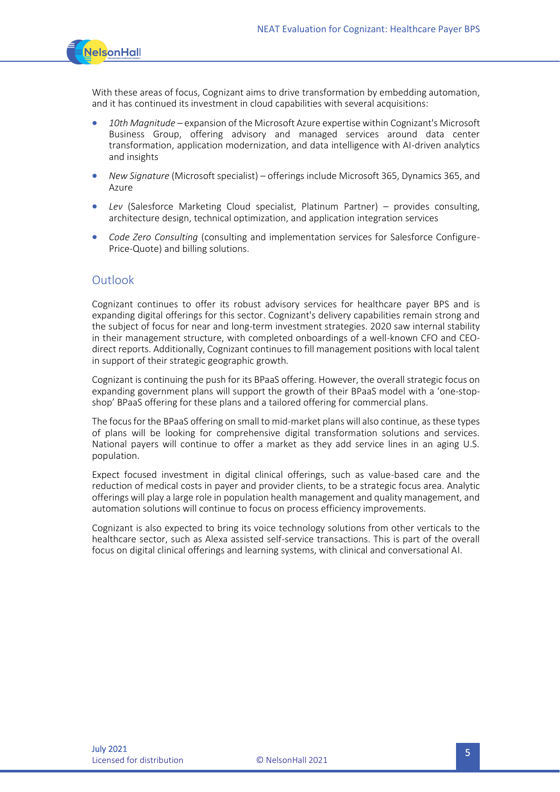

With these areas of focus, Cognizant aims to drive transformation by embedding automation, and it has continued its investment in cloud capabilities with several acquisitions:

- *10th Magnitude* expansion of the Microsoft Azure expertise within Cognizant's Microsoft Business Group, offering advisory and managed services around data center transformation, application modernization, and data intelligence with AI-driven analytics and insights
- *New Signature* (Microsoft specialist) offerings include Microsoft 365, Dynamics 365, and Azure
- *Lev* (Salesforce Marketing Cloud specialist, Platinum Partner) provides consulting, architecture design, technical optimization, and application integration services
- *Code Zero Consulting* (consulting and implementation services for Salesforce Configure-Price-Quote) and billing solutions.

#### **Outlook**

Cognizant continues to offer its robust advisory services for healthcare payer BPS and is expanding digital offerings for this sector. Cognizant's delivery capabilities remain strong and the subject of focus for near and long-term investment strategies. 2020 saw internal stability in their management structure, with completed onboardings of a well-known CFO and CEOdirect reports. Additionally, Cognizant continues to fill management positions with local talent in support of their strategic geographic growth.

Cognizant is continuing the push for its BPaaS offering. However, the overall strategic focus on expanding government plans will support the growth of their BPaaS model with a 'one-stopshop' BPaaS offering for these plans and a tailored offering for commercial plans.

The focus for the BPaaS offering on small to mid-market plans will also continue, as these types of plans will be looking for comprehensive digital transformation solutions and services. National payers will continue to offer a market as they add service lines in an aging U.S. population.

Expect focused investment in digital clinical offerings, such as value-based care and the reduction of medical costs in payer and provider clients, to be a strategic focus area. Analytic offerings will play a large role in population health management and quality management, and automation solutions will continue to focus on process efficiency improvements.

Cognizant is also expected to bring its voice technology solutions from other verticals to the healthcare sector, such as Alexa assisted self-service transactions. This is part of the overall focus on digital clinical offerings and learning systems, with clinical and conversational AI.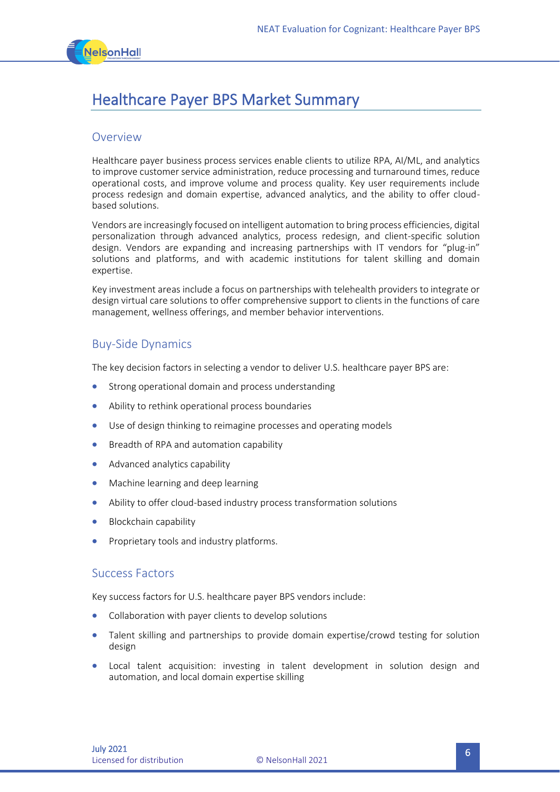

# Healthcare Payer BPS Market Summary

#### Overview

Healthcare payer business process services enable clients to utilize RPA, AI/ML, and analytics to improve customer service administration, reduce processing and turnaround times, reduce operational costs, and improve volume and process quality. Key user requirements include process redesign and domain expertise, advanced analytics, and the ability to offer cloudbased solutions.

Vendors are increasingly focused on intelligent automation to bring process efficiencies, digital personalization through advanced analytics, process redesign, and client-specific solution design. Vendors are expanding and increasing partnerships with IT vendors for "plug-in" solutions and platforms, and with academic institutions for talent skilling and domain expertise.

Key investment areas include a focus on partnerships with telehealth providers to integrate or design virtual care solutions to offer comprehensive support to clients in the functions of care management, wellness offerings, and member behavior interventions.

#### Buy-Side Dynamics

The key decision factors in selecting a vendor to deliver U.S. healthcare payer BPS are:

- Strong operational domain and process understanding
- Ability to rethink operational process boundaries
- Use of design thinking to reimagine processes and operating models
- Breadth of RPA and automation capability
- Advanced analytics capability
- Machine learning and deep learning
- Ability to offer cloud-based industry process transformation solutions
- Blockchain capability
- Proprietary tools and industry platforms.

#### Success Factors

Key success factors for U.S. healthcare payer BPS vendors include:

- Collaboration with payer clients to develop solutions
- Talent skilling and partnerships to provide domain expertise/crowd testing for solution design
- Local talent acquisition: investing in talent development in solution design and automation, and local domain expertise skilling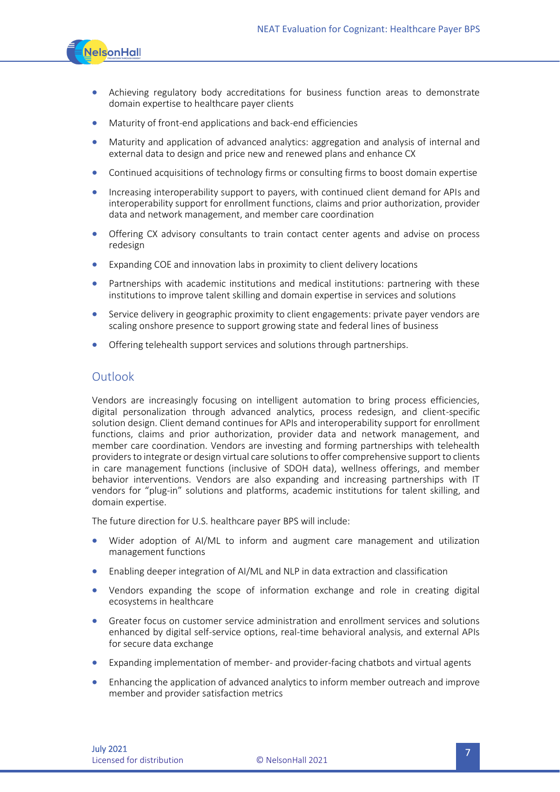

- Achieving regulatory body accreditations for business function areas to demonstrate domain expertise to healthcare payer clients
- Maturity of front-end applications and back-end efficiencies
- Maturity and application of advanced analytics: aggregation and analysis of internal and external data to design and price new and renewed plans and enhance CX
- Continued acquisitions of technology firms or consulting firms to boost domain expertise
- Increasing interoperability support to payers, with continued client demand for APIs and interoperability support for enrollment functions, claims and prior authorization, provider data and network management, and member care coordination
- Offering CX advisory consultants to train contact center agents and advise on process redesign
- Expanding COE and innovation labs in proximity to client delivery locations
- Partnerships with academic institutions and medical institutions: partnering with these institutions to improve talent skilling and domain expertise in services and solutions
- Service delivery in geographic proximity to client engagements: private payer vendors are scaling onshore presence to support growing state and federal lines of business
- Offering telehealth support services and solutions through partnerships.

#### Outlook

Vendors are increasingly focusing on intelligent automation to bring process efficiencies, digital personalization through advanced analytics, process redesign, and client-specific solution design. Client demand continues for APIs and interoperability support for enrollment functions, claims and prior authorization, provider data and network management, and member care coordination. Vendors are investing and forming partnerships with telehealth providers to integrate or design virtual care solutions to offer comprehensive support to clients in care management functions (inclusive of SDOH data), wellness offerings, and member behavior interventions. Vendors are also expanding and increasing partnerships with IT vendors for "plug-in" solutions and platforms, academic institutions for talent skilling, and domain expertise.

The future direction for U.S. healthcare payer BPS will include:

- Wider adoption of AI/ML to inform and augment care management and utilization management functions
- Enabling deeper integration of AI/ML and NLP in data extraction and classification
- Vendors expanding the scope of information exchange and role in creating digital ecosystems in healthcare
- Greater focus on customer service administration and enrollment services and solutions enhanced by digital self-service options, real-time behavioral analysis, and external APIs for secure data exchange
- Expanding implementation of member- and provider-facing chatbots and virtual agents
- Enhancing the application of advanced analytics to inform member outreach and improve member and provider satisfaction metrics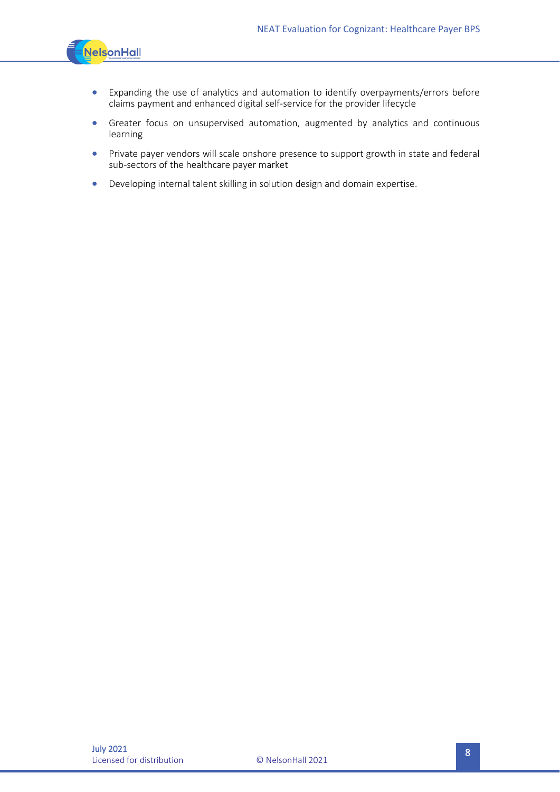

- Expanding the use of analytics and automation to identify overpayments/errors before claims payment and enhanced digital self-service for the provider lifecycle
- Greater focus on unsupervised automation, augmented by analytics and continuous learning
- Private payer vendors will scale onshore presence to support growth in state and federal sub-sectors of the healthcare payer market
- Developing internal talent skilling in solution design and domain expertise.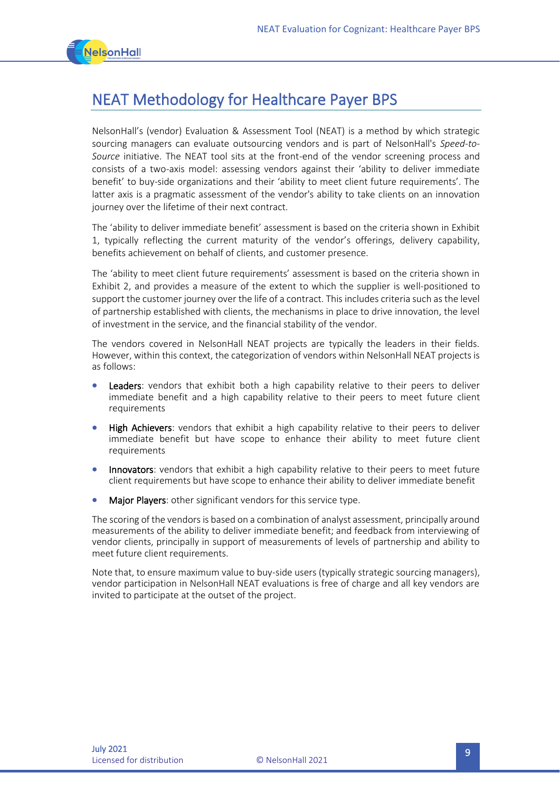

# NEAT Methodology for Healthcare Payer BPS

NelsonHall's (vendor) Evaluation & Assessment Tool (NEAT) is a method by which strategic sourcing managers can evaluate outsourcing vendors and is part of NelsonHall's *Speed-to-Source* initiative. The NEAT tool sits at the front-end of the vendor screening process and consists of a two-axis model: assessing vendors against their 'ability to deliver immediate benefit' to buy-side organizations and their 'ability to meet client future requirements'. The latter axis is a pragmatic assessment of the vendor's ability to take clients on an innovation journey over the lifetime of their next contract.

The 'ability to deliver immediate benefit' assessment is based on the criteria shown in Exhibit 1, typically reflecting the current maturity of the vendor's offerings, delivery capability, benefits achievement on behalf of clients, and customer presence.

The 'ability to meet client future requirements' assessment is based on the criteria shown in Exhibit 2, and provides a measure of the extent to which the supplier is well-positioned to support the customer journey over the life of a contract. This includes criteria such as the level of partnership established with clients, the mechanisms in place to drive innovation, the level of investment in the service, and the financial stability of the vendor.

The vendors covered in NelsonHall NEAT projects are typically the leaders in their fields. However, within this context, the categorization of vendors within NelsonHall NEAT projects is as follows:

- Leaders: vendors that exhibit both a high capability relative to their peers to deliver immediate benefit and a high capability relative to their peers to meet future client requirements
- **High Achievers:** vendors that exhibit a high capability relative to their peers to deliver immediate benefit but have scope to enhance their ability to meet future client requirements
- Innovators: vendors that exhibit a high capability relative to their peers to meet future client requirements but have scope to enhance their ability to deliver immediate benefit
- Major Players: other significant vendors for this service type.

The scoring of the vendors is based on a combination of analyst assessment, principally around measurements of the ability to deliver immediate benefit; and feedback from interviewing of vendor clients, principally in support of measurements of levels of partnership and ability to meet future client requirements.

Note that, to ensure maximum value to buy-side users (typically strategic sourcing managers), vendor participation in NelsonHall NEAT evaluations is free of charge and all key vendors are invited to participate at the outset of the project.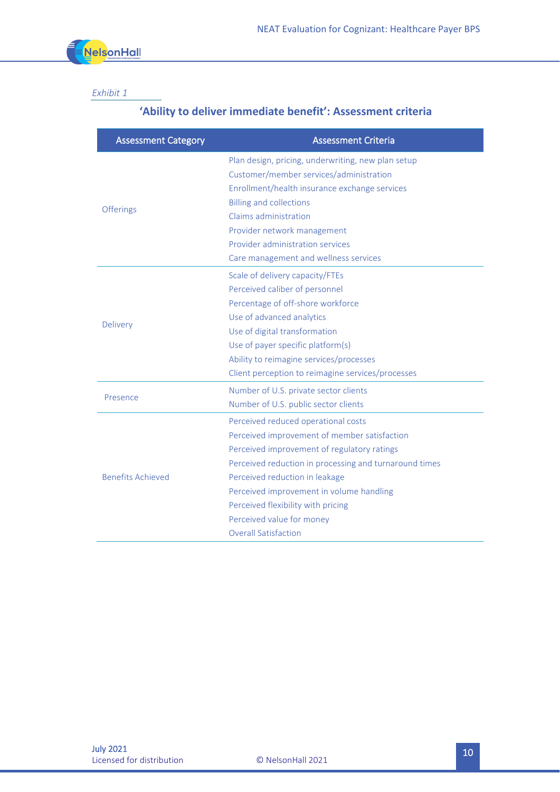

### *Exhibit 1*

# **'Ability to deliver immediate benefit': Assessment criteria**

| <b>Assessment Category</b> | <b>Assessment Criteria</b>                                                                                                                     |
|----------------------------|------------------------------------------------------------------------------------------------------------------------------------------------|
| <b>Offerings</b>           | Plan design, pricing, underwriting, new plan setup<br>Customer/member services/administration<br>Enrollment/health insurance exchange services |
|                            | <b>Billing and collections</b>                                                                                                                 |
|                            | Claims administration                                                                                                                          |
|                            | Provider network management                                                                                                                    |
|                            | Provider administration services                                                                                                               |
|                            | Care management and wellness services                                                                                                          |
| <b>Delivery</b>            | Scale of delivery capacity/FTEs                                                                                                                |
|                            | Perceived caliber of personnel                                                                                                                 |
|                            | Percentage of off-shore workforce                                                                                                              |
|                            | Use of advanced analytics                                                                                                                      |
|                            | Use of digital transformation                                                                                                                  |
|                            | Use of payer specific platform(s)                                                                                                              |
|                            | Ability to reimagine services/processes                                                                                                        |
|                            | Client perception to reimagine services/processes                                                                                              |
| Presence                   | Number of U.S. private sector clients                                                                                                          |
|                            | Number of U.S. public sector clients                                                                                                           |
| <b>Benefits Achieved</b>   | Perceived reduced operational costs                                                                                                            |
|                            | Perceived improvement of member satisfaction                                                                                                   |
|                            | Perceived improvement of regulatory ratings                                                                                                    |
|                            | Perceived reduction in processing and turnaround times                                                                                         |
|                            | Perceived reduction in leakage                                                                                                                 |
|                            | Perceived improvement in volume handling                                                                                                       |
|                            | Perceived flexibility with pricing                                                                                                             |
|                            | Perceived value for money                                                                                                                      |
|                            | <b>Overall Satisfaction</b>                                                                                                                    |
|                            |                                                                                                                                                |